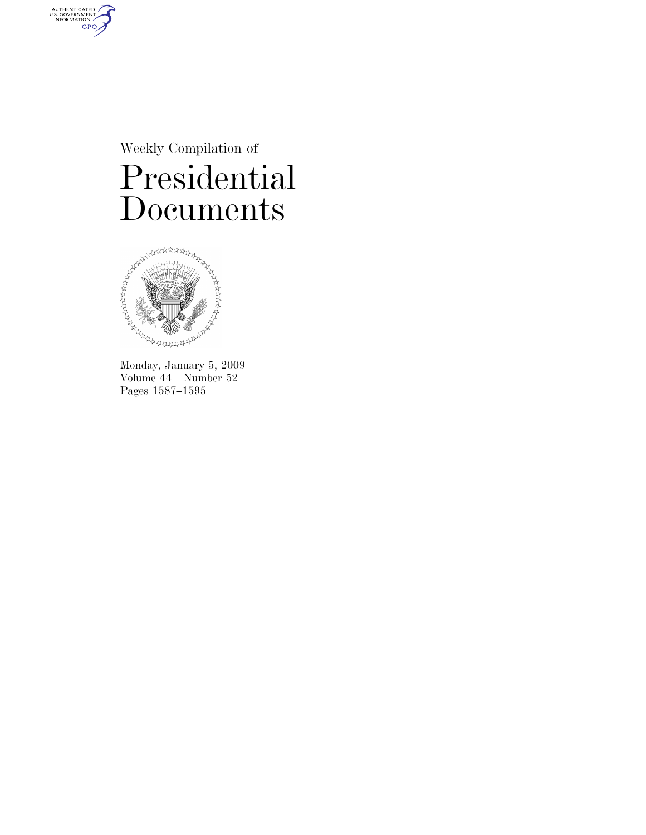Weekly Compilation of Presidential Documents



AUTHENTICATED<br>U.S. GOVERNMENT<br>INFORMATION

**GPO** 

Monday, January 5, 2009 Volume 44—Number 52 Pages 1587–1595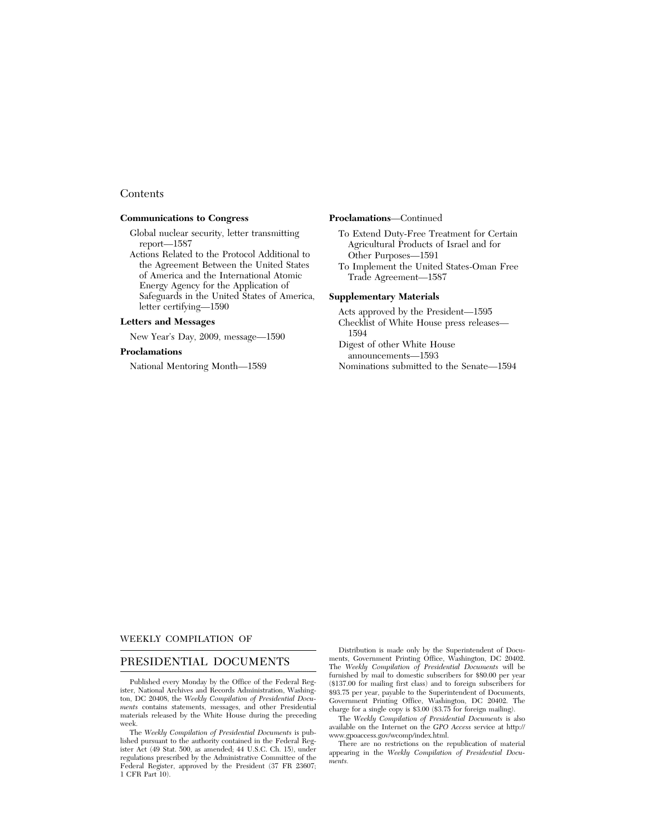# **Contents**

## **Communications to Congress**

Global nuclear security, letter transmitting report—1587

Actions Related to the Protocol Additional to the Agreement Between the United States of America and the International Atomic Energy Agency for the Application of Safeguards in the United States of America, letter certifying—1590

## **Letters and Messages**

New Year's Day, 2009, message—1590

# **Proclamations**

National Mentoring Month—1589

#### **Proclamations**—Continued

- To Extend Duty-Free Treatment for Certain Agricultural Products of Israel and for Other Purposes—1591
- To Implement the United States-Oman Free Trade Agreement—1587

## **Supplementary Materials**

Acts approved by the President—1595 Checklist of White House press releases—

- 1594 Digest of other White House announcements—1593
- Nominations submitted to the Senate—1594

## WEEKLY COMPILATION OF

# PRESIDENTIAL DOCUMENTS

Published every Monday by the Office of the Federal Register, National Archives and Records Administration, Washington, DC 20408, the *Weekly Compilation of Presidential Documents* contains statements, messages, and other Presidential materials released by the White House during the preceding week.

The *Weekly Compilation of Presidential Documents* is published pursuant to the authority contained in the Federal Register Act (49 Stat. 500, as amended; 44 U.S.C. Ch. 15), under regulations prescribed by the Administrative Committee of the Federal Register, approved by the President (37 FR 23607; 1 CFR Part 10).

Distribution is made only by the Superintendent of Documents, Government Printing Office, Washington, DC 20402. The *Weekly Compilation of Presidential Documents* will be furnished by mail to domestic subscribers for \$80.00 per year (\$137.00 for mailing first class) and to foreign subscribers for \$93.75 per year, payable to the Superintendent of Documents, Government Printing Office, Washington, DC 20402. The charge for a single copy is \$3.00 (\$3.75 for foreign mailing).

The *Weekly Compilation of Presidential Documents* is also available on the Internet on the *GPO Access* service at http:// www.gpoaccess.gov/wcomp/index.html.

There are no restrictions on the republication of material appearing in the *Weekly Compilation of Presidential Documents.*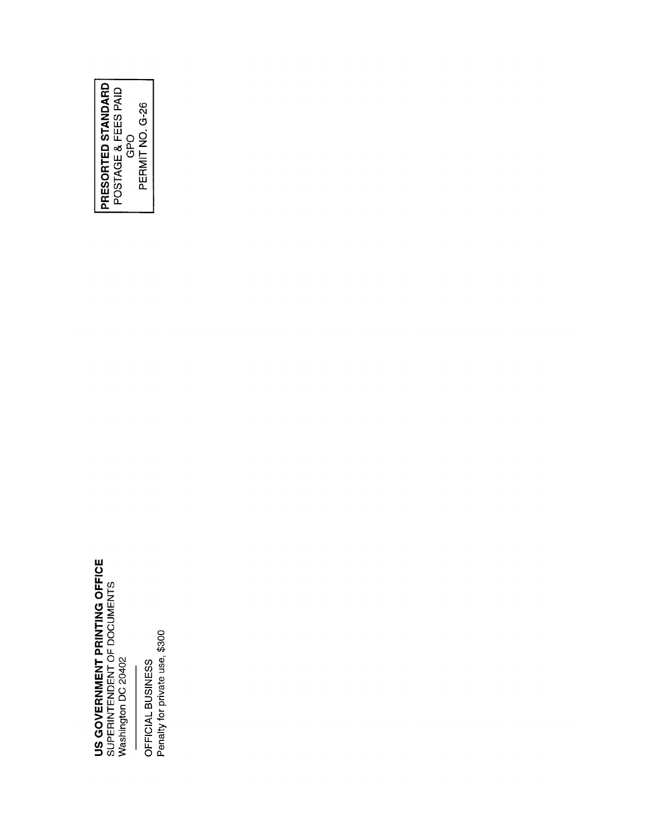# **US GOVERNMENT PRINTING OFFICE**<br>SUPERINTENDENT OF DOCUMENTS<br>Washington DC 20402

OFFICIAL BUSINESS<br>Penalty for private use, \$300

**PRESORTED STANDARD**<br>POSTAGE & FEES PAID<br>CPO<br>PERMIT NO. G-26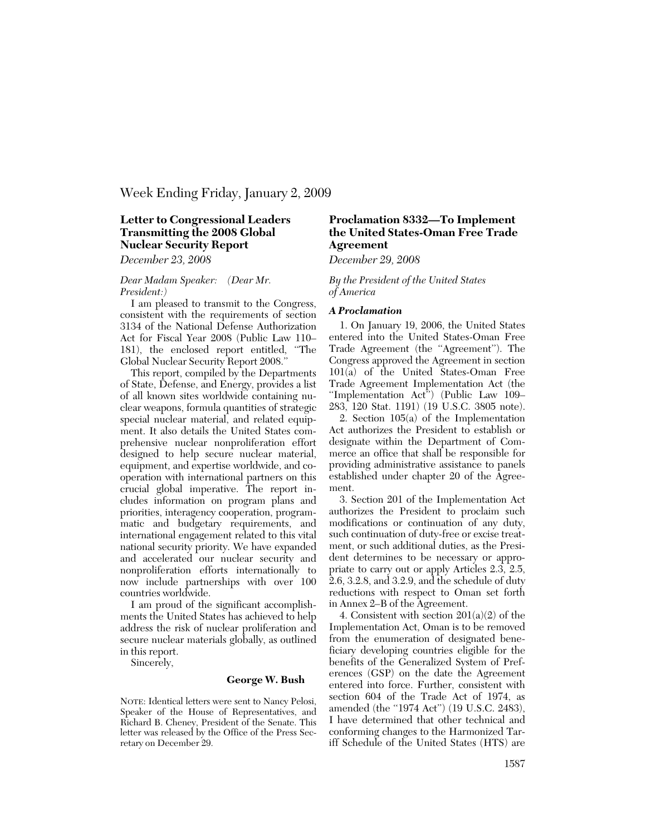# Week Ending Friday, January 2, 2009

# **Letter to Congressional Leaders Transmitting the 2008 Global Nuclear Security Report**

*December 23, 2008* 

## *Dear Madam Speaker: (Dear Mr. President:)*

I am pleased to transmit to the Congress, consistent with the requirements of section 3134 of the National Defense Authorization Act for Fiscal Year 2008 (Public Law 110– 181), the enclosed report entitled, ''The Global Nuclear Security Report 2008.''

This report, compiled by the Departments of State, Defense, and Energy, provides a list of all known sites worldwide containing nuclear weapons, formula quantities of strategic special nuclear material, and related equipment. It also details the United States comprehensive nuclear nonproliferation effort designed to help secure nuclear material, equipment, and expertise worldwide, and cooperation with international partners on this crucial global imperative. The report includes information on program plans and priorities, interagency cooperation, programmatic and budgetary requirements, and international engagement related to this vital national security priority. We have expanded and accelerated our nuclear security and nonproliferation efforts internationally to now include partnerships with over 100 countries worldwide.

I am proud of the significant accomplishments the United States has achieved to help address the risk of nuclear proliferation and secure nuclear materials globally, as outlined in this report.

Sincerely,

## **George W. Bush**

NOTE: Identical letters were sent to Nancy Pelosi, Speaker of the House of Representatives, and Richard B. Cheney, President of the Senate. This letter was released by the Office of the Press Secretary on December 29.

# **Proclamation 8332—To Implement the United States-Oman Free Trade Agreement**

*December 29, 2008* 

*By the President of the United States of America* 

#### *A Proclamation*

1. On January 19, 2006, the United States entered into the United States-Oman Free Trade Agreement (the ''Agreement''). The Congress approved the Agreement in section 101(a) of the United States-Oman Free Trade Agreement Implementation Act (the ''Implementation Act'') (Public Law 109– 283, 120 Stat. 1191) (19 U.S.C. 3805 note).

2. Section 105(a) of the Implementation Act authorizes the President to establish or designate within the Department of Commerce an office that shall be responsible for providing administrative assistance to panels established under chapter 20 of the Agreement.

3. Section 201 of the Implementation Act authorizes the President to proclaim such modifications or continuation of any duty, such continuation of duty-free or excise treatment, or such additional duties, as the President determines to be necessary or appropriate to carry out or apply Articles 2.3, 2.5, 2.6, 3.2.8, and 3.2.9, and the schedule of duty reductions with respect to Oman set forth in Annex 2–B of the Agreement.

4. Consistent with section  $201(a)(2)$  of the Implementation Act, Oman is to be removed from the enumeration of designated beneficiary developing countries eligible for the benefits of the Generalized System of Preferences (GSP) on the date the Agreement entered into force. Further, consistent with section 604 of the Trade Act of 1974, as amended (the ''1974 Act'') (19 U.S.C. 2483), I have determined that other technical and conforming changes to the Harmonized Tariff Schedule of the United States (HTS) are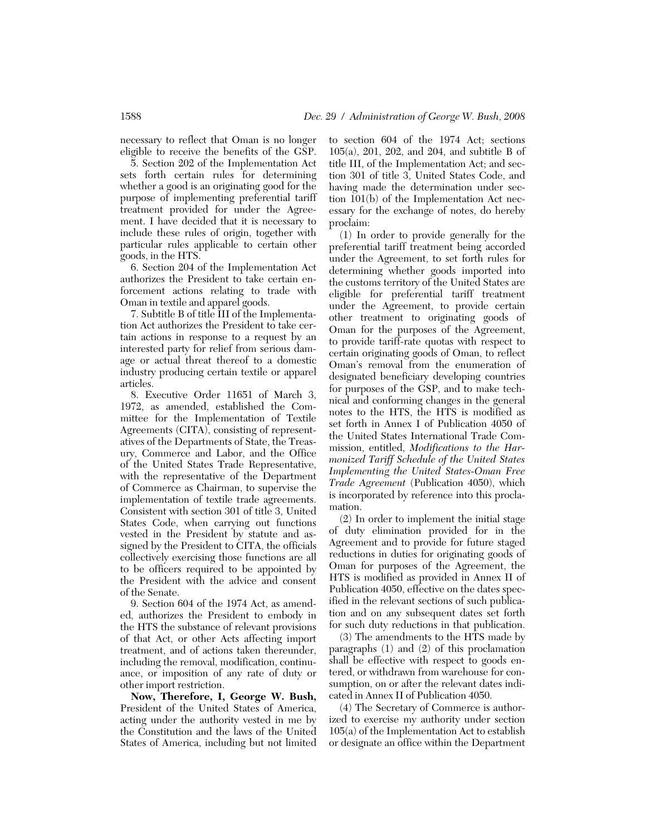necessary to reflect that Oman is no longer eligible to receive the benefits of the GSP.

5. Section 202 of the Implementation Act sets forth certain rules for determining whether a good is an originating good for the purpose of implementing preferential tariff treatment provided for under the Agreement. I have decided that it is necessary to include these rules of origin, together with particular rules applicable to certain other goods, in the HTS.

6. Section 204 of the Implementation Act authorizes the President to take certain enforcement actions relating to trade with Oman in textile and apparel goods.

7. Subtitle B of title III of the Implementation Act authorizes the President to take certain actions in response to a request by an interested party for relief from serious damage or actual threat thereof to a domestic industry producing certain textile or apparel articles.

8. Executive Order 11651 of March 3, 1972, as amended, established the Committee for the Implementation of Textile Agreements (CITA), consisting of representatives of the Departments of State, the Treasury, Commerce and Labor, and the Office of the United States Trade Representative, with the representative of the Department of Commerce as Chairman, to supervise the implementation of textile trade agreements. Consistent with section 301 of title 3, United States Code, when carrying out functions vested in the President by statute and assigned by the President to CITA, the officials collectively exercising those functions are all to be officers required to be appointed by the President with the advice and consent of the Senate.

9. Section 604 of the 1974 Act, as amended, authorizes the President to embody in the HTS the substance of relevant provisions of that Act, or other Acts affecting import treatment, and of actions taken thereunder, including the removal, modification, continuance, or imposition of any rate of duty or other import restriction.

**Now, Therefore, I, George W. Bush,**  President of the United States of America, acting under the authority vested in me by the Constitution and the laws of the United States of America, including but not limited

to section 604 of the 1974 Act; sections 105(a), 201, 202, and 204, and subtitle B of title III, of the Implementation Act; and section 301 of title 3, United States Code, and having made the determination under section 101(b) of the Implementation Act necessary for the exchange of notes, do hereby proclaim:

(1) In order to provide generally for the preferential tariff treatment being accorded under the Agreement, to set forth rules for determining whether goods imported into the customs territory of the United States are eligible for preferential tariff treatment under the Agreement, to provide certain other treatment to originating goods of Oman for the purposes of the Agreement, to provide tariff-rate quotas with respect to certain originating goods of Oman, to reflect Oman's removal from the enumeration of designated beneficiary developing countries for purposes of the GSP, and to make technical and conforming changes in the general notes to the HTS, the HTS is modified as set forth in Annex I of Publication 4050 of the United States International Trade Commission, entitled, *Modifications to the Harmonized Tariff Schedule of the United States Implementing the United States-Oman Free Trade Agreement* (Publication 4050), which is incorporated by reference into this proclamation.

(2) In order to implement the initial stage of duty elimination provided for in the Agreement and to provide for future staged reductions in duties for originating goods of Oman for purposes of the Agreement, the HTS is modified as provided in Annex II of Publication 4050, effective on the dates specified in the relevant sections of such publication and on any subsequent dates set forth for such duty reductions in that publication.

(3) The amendments to the HTS made by paragraphs (1) and (2) of this proclamation shall be effective with respect to goods entered, or withdrawn from warehouse for consumption, on or after the relevant dates indicated in Annex II of Publication 4050.

(4) The Secretary of Commerce is authorized to exercise my authority under section 105(a) of the Implementation Act to establish or designate an office within the Department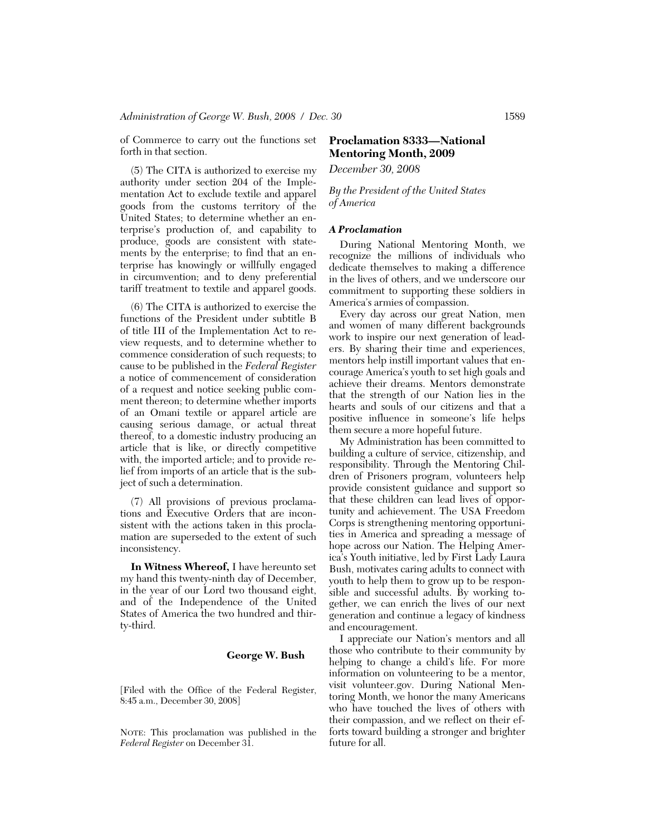of Commerce to carry out the functions set forth in that section.

(5) The CITA is authorized to exercise my authority under section 204 of the Implementation Act to exclude textile and apparel goods from the customs territory of the United States; to determine whether an enterprise's production of, and capability to produce, goods are consistent with statements by the enterprise; to find that an enterprise has knowingly or willfully engaged in circumvention; and to deny preferential tariff treatment to textile and apparel goods.

(6) The CITA is authorized to exercise the functions of the President under subtitle B of title III of the Implementation Act to review requests, and to determine whether to commence consideration of such requests; to cause to be published in the *Federal Register*  a notice of commencement of consideration of a request and notice seeking public comment thereon; to determine whether imports of an Omani textile or apparel article are causing serious damage, or actual threat thereof, to a domestic industry producing an article that is like, or directly competitive with, the imported article; and to provide relief from imports of an article that is the subject of such a determination.

(7) All provisions of previous proclamations and Executive Orders that are inconsistent with the actions taken in this proclamation are superseded to the extent of such inconsistency.

**In Witness Whereof,** I have hereunto set my hand this twenty-ninth day of December, in the year of our Lord two thousand eight, and of the Independence of the United States of America the two hundred and thirty-third.

# **George W. Bush**

[Filed with the Office of the Federal Register, 8:45 a.m., December 30, 2008]

NOTE: This proclamation was published in the *Federal Register* on December 31.

# **Proclamation 8333—National Mentoring Month, 2009**

*December 30, 2008* 

*By the President of the United States of America* 

## *A Proclamation*

During National Mentoring Month, we recognize the millions of individuals who dedicate themselves to making a difference in the lives of others, and we underscore our commitment to supporting these soldiers in America's armies of compassion.

Every day across our great Nation, men and women of many different backgrounds work to inspire our next generation of leaders. By sharing their time and experiences, mentors help instill important values that encourage America's youth to set high goals and achieve their dreams. Mentors demonstrate that the strength of our Nation lies in the hearts and souls of our citizens and that a positive influence in someone's life helps them secure a more hopeful future.

My Administration has been committed to building a culture of service, citizenship, and responsibility. Through the Mentoring Children of Prisoners program, volunteers help provide consistent guidance and support so that these children can lead lives of opportunity and achievement. The USA Freedom Corps is strengthening mentoring opportunities in America and spreading a message of hope across our Nation. The Helping America's Youth initiative, led by First Lady Laura Bush, motivates caring adults to connect with youth to help them to grow up to be responsible and successful adults. By working together, we can enrich the lives of our next generation and continue a legacy of kindness and encouragement.

I appreciate our Nation's mentors and all those who contribute to their community by helping to change a child's life. For more information on volunteering to be a mentor, visit volunteer.gov. During National Mentoring Month, we honor the many Americans who have touched the lives of others with their compassion, and we reflect on their efforts toward building a stronger and brighter future for all.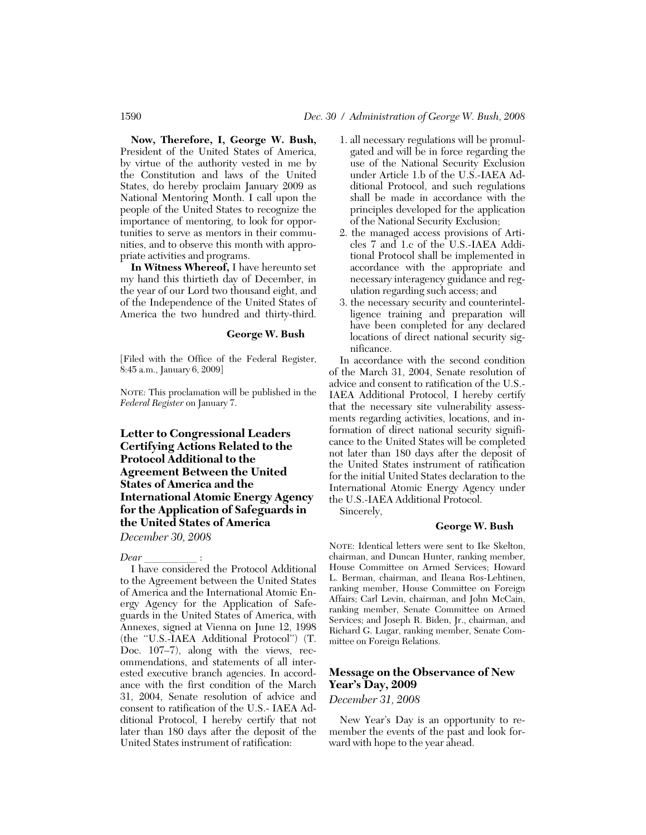**Now, Therefore, I, George W. Bush,**  President of the United States of America, by virtue of the authority vested in me by the Constitution and laws of the United States, do hereby proclaim January 2009 as National Mentoring Month. I call upon the people of the United States to recognize the importance of mentoring, to look for opportunities to serve as mentors in their communities, and to observe this month with appropriate activities and programs.

**In Witness Whereof,** I have hereunto set my hand this thirtieth day of December, in the year of our Lord two thousand eight, and of the Independence of the United States of America the two hundred and thirty-third.

# **George W. Bush**

[Filed with the Office of the Federal Register, 8:45 a.m., January 6, 2009]

NOTE: This proclamation will be published in the *Federal Register* on January 7.

**Letter to Congressional Leaders Certifying Actions Related to the Protocol Additional to the Agreement Between the United States of America and the International Atomic Energy Agency for the Application of Safeguards in the United States of America** 

*December 30, 2008* 

*Dear* is a set of the Protocol Additional I have considered the Protocol Additional to the Agreement between the United States of America and the International Atomic Energy Agency for the Application of Safeguards in the United States of America, with Annexes, signed at Vienna on June 12, 1998 (the ''U.S.-IAEA Additional Protocol'') (T. Doc. 107–7), along with the views, recommendations, and statements of all interested executive branch agencies. In accordance with the first condition of the March 31, 2004, Senate resolution of advice and consent to ratification of the U.S.- IAEA Additional Protocol, I hereby certify that not later than 180 days after the deposit of the United States instrument of ratification:

- 1. all necessary regulations will be promulgated and will be in force regarding the use of the National Security Exclusion under Article 1.b of the U.S.-IAEA Additional Protocol, and such regulations shall be made in accordance with the principles developed for the application of the National Security Exclusion;
- 2. the managed access provisions of Articles 7 and 1.c of the U.S.-IAEA Additional Protocol shall be implemented in accordance with the appropriate and necessary interagency guidance and regulation regarding such access; and
- 3. the necessary security and counterintelligence training and preparation will have been completed for any declared locations of direct national security significance.

In accordance with the second condition of the March 31, 2004, Senate resolution of advice and consent to ratification of the U.S.- IAEA Additional Protocol, I hereby certify that the necessary site vulnerability assessments regarding activities, locations, and information of direct national security significance to the United States will be completed not later than 180 days after the deposit of the United States instrument of ratification for the initial United States declaration to the International Atomic Energy Agency under the U.S.-IAEA Additional Protocol.

Sincerely,

# **George W. Bush**

NOTE: Identical letters were sent to Ike Skelton, chairman, and Duncan Hunter, ranking member, House Committee on Armed Services; Howard L. Berman, chairman, and Ileana Ros-Lehtinen, ranking member, House Committee on Foreign Affairs; Carl Levin, chairman, and John McCain, ranking member, Senate Committee on Armed Services; and Joseph R. Biden, Jr., chairman, and Richard G. Lugar, ranking member, Senate Committee on Foreign Relations.

# **Message on the Observance of New Year's Day, 2009**

*December 31, 2008* 

New Year's Day is an opportunity to remember the events of the past and look forward with hope to the year ahead.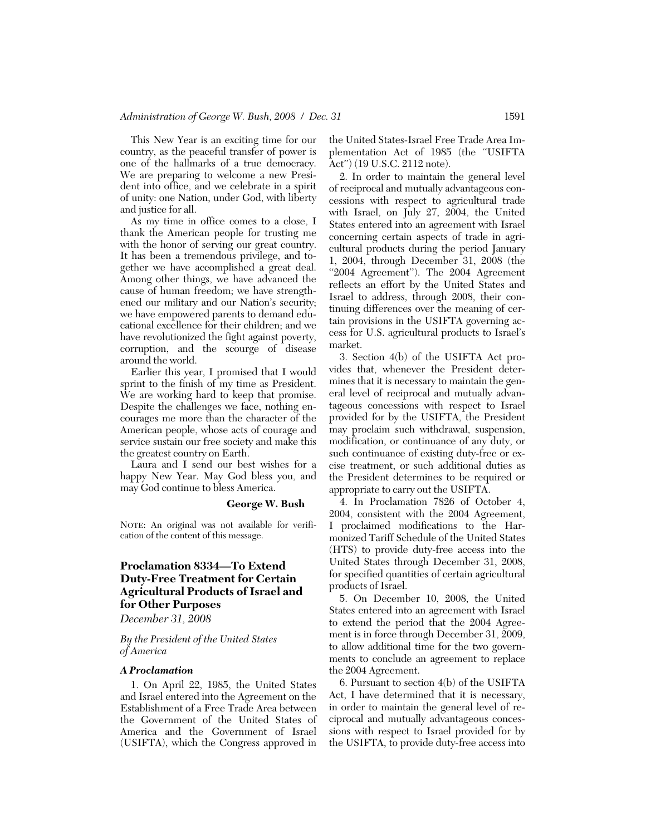This New Year is an exciting time for our country, as the peaceful transfer of power is one of the hallmarks of a true democracy. We are preparing to welcome a new President into office, and we celebrate in a spirit of unity: one Nation, under God, with liberty and justice for all.

As my time in office comes to a close, I thank the American people for trusting me with the honor of serving our great country. It has been a tremendous privilege, and together we have accomplished a great deal. Among other things, we have advanced the cause of human freedom; we have strengthened our military and our Nation's security; we have empowered parents to demand educational excellence for their children; and we have revolutionized the fight against poverty, corruption, and the scourge of disease around the world.

Earlier this year, I promised that I would sprint to the finish of my time as President. We are working hard to keep that promise. Despite the challenges we face, nothing encourages me more than the character of the American people, whose acts of courage and service sustain our free society and make this the greatest country on Earth.

Laura and I send our best wishes for a happy New Year. May God bless you, and may God continue to bless America.

#### **George W. Bush**

NOTE: An original was not available for verification of the content of this message.

# **Proclamation 8334—To Extend Duty-Free Treatment for Certain Agricultural Products of Israel and for Other Purposes**

*December 31, 2008* 

# *By the President of the United States of America*

#### *A Proclamation*

1. On April 22, 1985, the United States and Israel entered into the Agreement on the Establishment of a Free Trade Area between the Government of the United States of America and the Government of Israel (USIFTA), which the Congress approved in

the United States-Israel Free Trade Area Implementation Act of 1985 (the ''USIFTA Act'') (19 U.S.C. 2112 note).

2. In order to maintain the general level of reciprocal and mutually advantageous concessions with respect to agricultural trade with Israel, on July 27, 2004, the United States entered into an agreement with Israel concerning certain aspects of trade in agricultural products during the period January 1, 2004, through December 31, 2008 (the "2004 Agreement"). The 2004 Agreement reflects an effort by the United States and Israel to address, through 2008, their continuing differences over the meaning of certain provisions in the USIFTA governing access for U.S. agricultural products to Israel's market.

3. Section 4(b) of the USIFTA Act provides that, whenever the President determines that it is necessary to maintain the general level of reciprocal and mutually advantageous concessions with respect to Israel provided for by the USIFTA, the President may proclaim such withdrawal, suspension, modification, or continuance of any duty, or such continuance of existing duty-free or excise treatment, or such additional duties as the President determines to be required or appropriate to carry out the USIFTA.

4. In Proclamation 7826 of October 4, 2004, consistent with the 2004 Agreement, I proclaimed modifications to the Harmonized Tariff Schedule of the United States (HTS) to provide duty-free access into the United States through December 31, 2008, for specified quantities of certain agricultural products of Israel.

5. On December 10, 2008, the United States entered into an agreement with Israel to extend the period that the 2004 Agreement is in force through December 31, 2009, to allow additional time for the two governments to conclude an agreement to replace the 2004 Agreement.

6. Pursuant to section 4(b) of the USIFTA Act, I have determined that it is necessary, in order to maintain the general level of reciprocal and mutually advantageous concessions with respect to Israel provided for by the USIFTA, to provide duty-free access into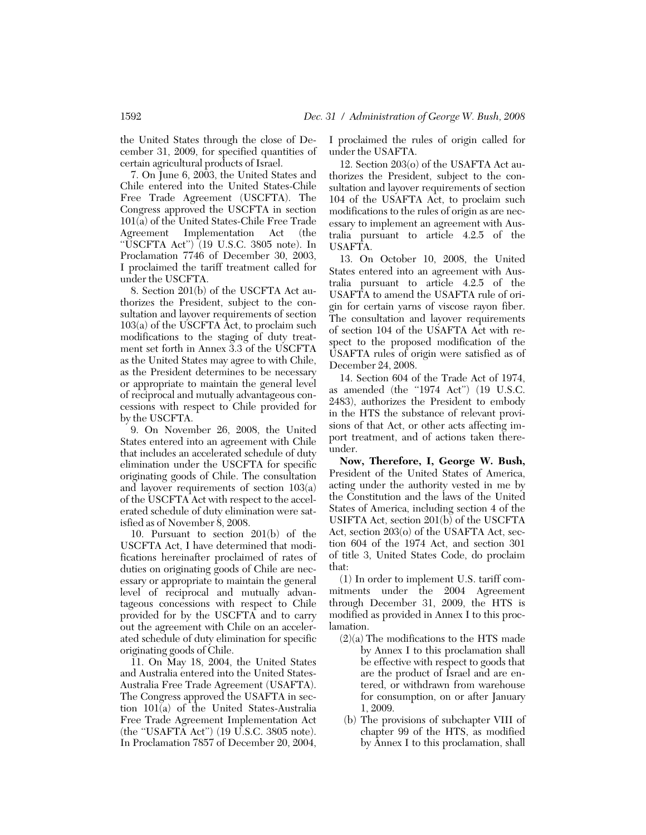the United States through the close of December 31, 2009, for specified quantities of certain agricultural products of Israel.

7. On June 6, 2003, the United States and Chile entered into the United States-Chile Free Trade Agreement (USCFTA). The Congress approved the USCFTA in section 101(a) of the United States-Chile Free Trade Agreement Implementation Act (the "USCFTA Act")  $(19 \text{ U.S.C. } 3805 \text{ note})$ . In Proclamation 7746 of December 30, 2003, I proclaimed the tariff treatment called for under the USCFTA.

8. Section 201(b) of the USCFTA Act authorizes the President, subject to the consultation and layover requirements of section 103(a) of the USCFTA Act, to proclaim such modifications to the staging of duty treatment set forth in Annex 3.3 of the USCFTA as the United States may agree to with Chile, as the President determines to be necessary or appropriate to maintain the general level of reciprocal and mutually advantageous concessions with respect to Chile provided for by the USCFTA.

9. On November 26, 2008, the United States entered into an agreement with Chile that includes an accelerated schedule of duty elimination under the USCFTA for specific originating goods of Chile. The consultation and layover requirements of section 103(a) of the USCFTA Act with respect to the accelerated schedule of duty elimination were satisfied as of November 8, 2008.

10. Pursuant to section 201(b) of the USCFTA Act, I have determined that modifications hereinafter proclaimed of rates of duties on originating goods of Chile are necessary or appropriate to maintain the general level of reciprocal and mutually advantageous concessions with respect to Chile provided for by the USCFTA and to carry out the agreement with Chile on an accelerated schedule of duty elimination for specific originating goods of Chile.

11. On May 18, 2004, the United States and Australia entered into the United States-Australia Free Trade Agreement (USAFTA). The Congress approved the USAFTA in section 101(a) of the United States-Australia Free Trade Agreement Implementation Act (the "USAFTA Act") (19 U.S.C. 3805 note). In Proclamation 7857 of December 20, 2004,

I proclaimed the rules of origin called for under the USAFTA.

12. Section 203(o) of the USAFTA Act authorizes the President, subject to the consultation and layover requirements of section 104 of the USAFTA Act, to proclaim such modifications to the rules of origin as are necessary to implement an agreement with Australia pursuant to article 4.2.5 of the USAFTA.

13. On October 10, 2008, the United States entered into an agreement with Australia pursuant to article 4.2.5 of the USAFTA to amend the USAFTA rule of origin for certain yarns of viscose rayon fiber. The consultation and layover requirements of section 104 of the USAFTA Act with respect to the proposed modification of the USAFTA rules of origin were satisfied as of December 24, 2008.

14. Section 604 of the Trade Act of 1974, as amended (the "1974 Act") (19 U.S.C. 2483), authorizes the President to embody in the HTS the substance of relevant provisions of that Act, or other acts affecting import treatment, and of actions taken thereunder.

**Now, Therefore, I, George W. Bush,**  President of the United States of America, acting under the authority vested in me by the Constitution and the laws of the United States of America, including section 4 of the USIFTA Act, section  $201(b)$  of the USCFTA Act, section 203(o) of the USAFTA Act, section 604 of the 1974 Act, and section 301 of title 3, United States Code, do proclaim that:

(1) In order to implement U.S. tariff commitments under the 2004 Agreement through December 31, 2009, the HTS is modified as provided in Annex I to this proclamation.

- $(2)(a)$  The modifications to the HTS made by Annex I to this proclamation shall be effective with respect to goods that are the product of Israel and are entered, or withdrawn from warehouse for consumption, on or after January 1, 2009.
- (b) The provisions of subchapter VIII of chapter 99 of the HTS, as modified by Annex I to this proclamation, shall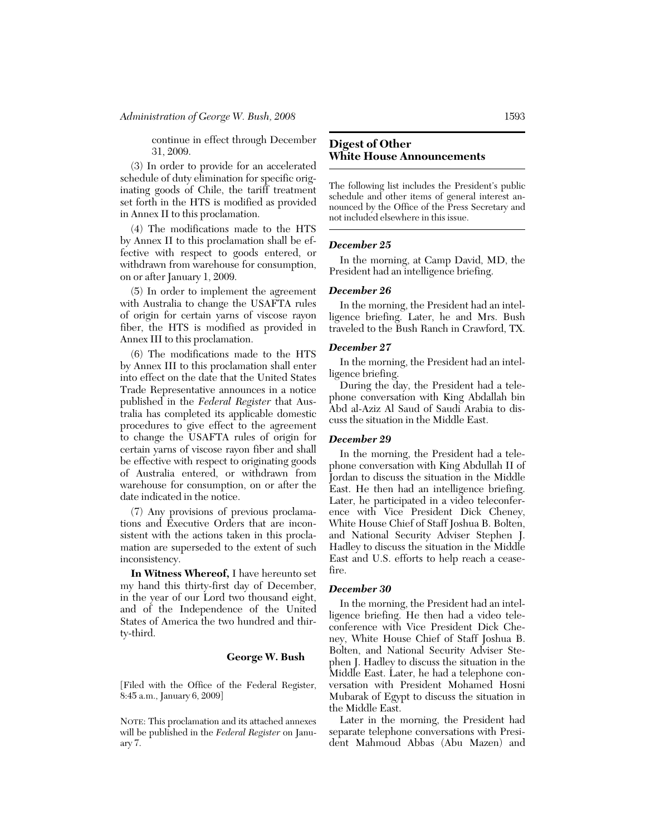continue in effect through December 31, 2009.

(3) In order to provide for an accelerated schedule of duty elimination for specific originating goods of Chile, the tariff treatment set forth in the HTS is modified as provided in Annex II to this proclamation.

(4) The modifications made to the HTS by Annex II to this proclamation shall be effective with respect to goods entered, or withdrawn from warehouse for consumption, on or after January 1, 2009.

(5) In order to implement the agreement with Australia to change the USAFTA rules of origin for certain yarns of viscose rayon fiber, the HTS is modified as provided in Annex III to this proclamation.

(6) The modifications made to the HTS by Annex III to this proclamation shall enter into effect on the date that the United States Trade Representative announces in a notice published in the *Federal Register* that Australia has completed its applicable domestic procedures to give effect to the agreement to change the USAFTA rules of origin for certain yarns of viscose rayon fiber and shall be effective with respect to originating goods of Australia entered, or withdrawn from warehouse for consumption, on or after the date indicated in the notice.

(7) Any provisions of previous proclamations and Executive Orders that are inconsistent with the actions taken in this proclamation are superseded to the extent of such inconsistency.

**In Witness Whereof,** I have hereunto set my hand this thirty-first day of December, in the year of our Lord two thousand eight, and of the Independence of the United States of America the two hundred and thirty-third.

# **George W. Bush**

[Filed with the Office of the Federal Register, 8:45 a.m., January 6, 2009]

NOTE: This proclamation and its attached annexes will be published in the *Federal Register* on January 7.

# **Digest of Other White House Announcements**

The following list includes the President's public schedule and other items of general interest announced by the Office of the Press Secretary and not included elsewhere in this issue.

# *December 25*

In the morning, at Camp David, MD, the President had an intelligence briefing.

## *December 26*

In the morning, the President had an intelligence briefing. Later, he and Mrs. Bush traveled to the Bush Ranch in Crawford, TX.

# *December 27*

In the morning, the President had an intelligence briefing.

During the day, the President had a telephone conversation with King Abdallah bin Abd al-Aziz Al Saud of Saudi Arabia to discuss the situation in the Middle East.

# *December 29*

In the morning, the President had a telephone conversation with King Abdullah II of Jordan to discuss the situation in the Middle East. He then had an intelligence briefing. Later, he participated in a video teleconference with Vice President Dick Cheney, White House Chief of Staff Joshua B. Bolten, and National Security Adviser Stephen J. Hadley to discuss the situation in the Middle East and U.S. efforts to help reach a ceasefire.

## *December 30*

In the morning, the President had an intelligence briefing. He then had a video teleconference with Vice President Dick Cheney, White House Chief of Staff Joshua B. Bolten, and National Security Adviser Stephen J. Hadley to discuss the situation in the Middle East. Later, he had a telephone conversation with President Mohamed Hosni Mubarak of Egypt to discuss the situation in the Middle East.

Later in the morning, the President had separate telephone conversations with President Mahmoud Abbas (Abu Mazen) and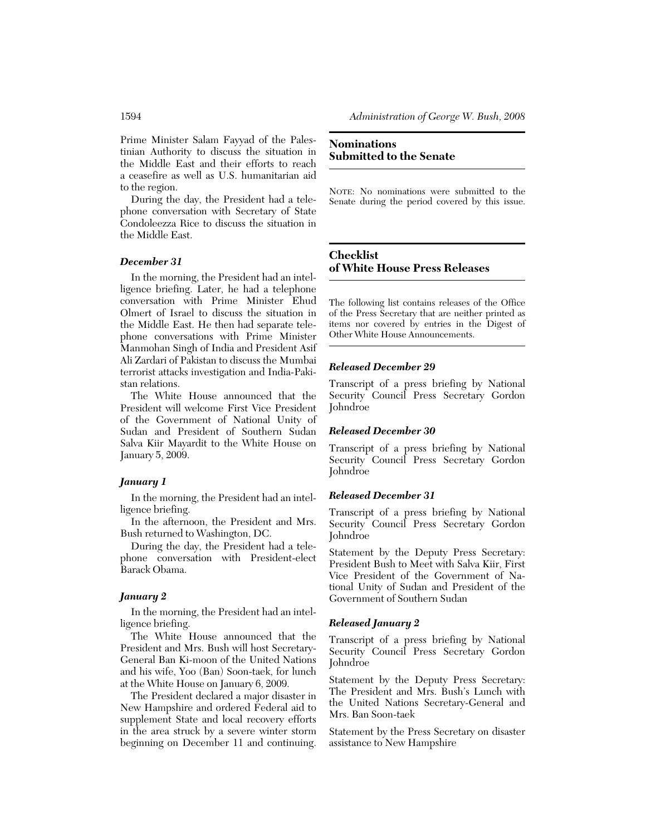Prime Minister Salam Fayyad of the Palestinian Authority to discuss the situation in the Middle East and their efforts to reach a ceasefire as well as U.S. humanitarian aid to the region.

During the day, the President had a telephone conversation with Secretary of State Condoleezza Rice to discuss the situation in the Middle East.

# *December 31*

In the morning, the President had an intelligence briefing. Later, he had a telephone conversation with Prime Minister Ehud Olmert of Israel to discuss the situation in the Middle East. He then had separate telephone conversations with Prime Minister Manmohan Singh of India and President Asif Ali Zardari of Pakistan to discuss the Mumbai terrorist attacks investigation and India-Pakistan relations.

The White House announced that the President will welcome First Vice President of the Government of National Unity of Sudan and President of Southern Sudan Salva Kiir Mayardit to the White House on January 5, 2009.

# *January 1*

In the morning, the President had an intelligence briefing.

In the afternoon, the President and Mrs. Bush returned to Washington, DC.

During the day, the President had a telephone conversation with President-elect Barack Obama.

# *January 2*

In the morning, the President had an intelligence briefing.

The White House announced that the President and Mrs. Bush will host Secretary-General Ban Ki-moon of the United Nations and his wife, Yoo (Ban) Soon-taek, for lunch at the White House on January 6, 2009.

The President declared a major disaster in New Hampshire and ordered Federal aid to supplement State and local recovery efforts in the area struck by a severe winter storm beginning on December 11 and continuing.

# **Nominations Submitted to the Senate**

NOTE: No nominations were submitted to the Senate during the period covered by this issue.

# **Checklist of White House Press Releases**

The following list contains releases of the Office of the Press Secretary that are neither printed as items nor covered by entries in the Digest of Other White House Announcements.

# *Released December 29*

Transcript of a press briefing by National Security Council Press Secretary Gordon **Johndroe** 

## *Released December 30*

Transcript of a press briefing by National Security Council Press Secretary Gordon Johndroe

## *Released December 31*

Transcript of a press briefing by National Security Council Press Secretary Gordon Johndroe

Statement by the Deputy Press Secretary: President Bush to Meet with Salva Kiir, First Vice President of the Government of National Unity of Sudan and President of the Government of Southern Sudan

#### *Released January 2*

Transcript of a press briefing by National Security Council Press Secretary Gordon Johndroe

Statement by the Deputy Press Secretary: The President and Mrs. Bush's Lunch with the United Nations Secretary-General and Mrs. Ban Soon-taek

Statement by the Press Secretary on disaster assistance to New Hampshire